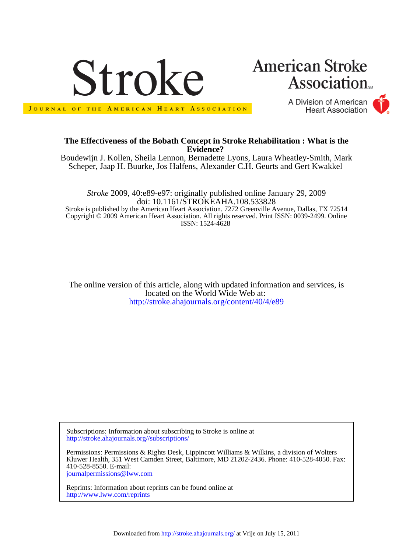

JOURNAL OF THE AMERICAN HEART ASSOCIATION

**American Stroke Association** 

> A Division of American **Heart Association**



Scheper, Jaap H. Buurke, Jos Halfens, Alexander C.H. Geurts and Gert Kwakkel Boudewijn J. Kollen, Sheila Lennon, Bernadette Lyons, Laura Wheatley-Smith, Mark

ISSN: 1524-4628 Copyright © 2009 American Heart Association. All rights reserved. Print ISSN: 0039-2499. Online Stroke is published by the American Heart Association. 7272 Greenville Avenue, Dallas, TX 72514 doi: 10.1161/STROKEAHA.108.533828 *Stroke* 2009, 40:e89-e97: originally published online January 29, 2009

http://stroke.ahajournals.org/content/40/4/e89 located on the World Wide Web at: The online version of this article, along with updated information and services, is

http://stroke.ahajournals.org//subscriptions/ Subscriptions: Information about subscribing to Stroke is online at

journalpermissions@lww.com 410-528-8550. E-mail: Kluwer Health, 351 West Camden Street, Baltimore, MD 21202-2436. Phone: 410-528-4050. Fax: Permissions: Permissions & Rights Desk, Lippincott Williams & Wilkins, a division of Wolters

http://www.lww.com/reprints Reprints: Information about reprints can be found online at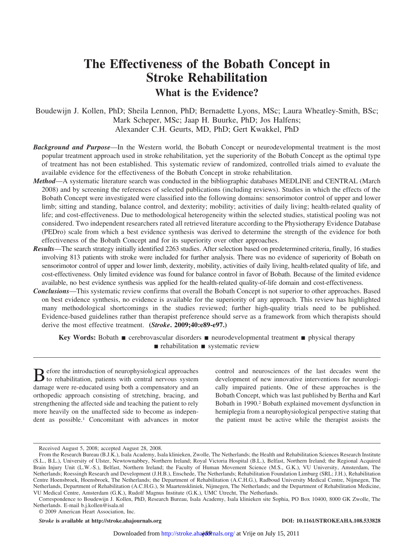# **The Effectiveness of the Bobath Concept in Stroke Rehabilitation What is the Evidence?**

Boudewijn J. Kollen, PhD; Sheila Lennon, PhD; Bernadette Lyons, MSc; Laura Wheatley-Smith, BSc; Mark Scheper, MSc; Jaap H. Buurke, PhD; Jos Halfens; Alexander C.H. Geurts, MD, PhD; Gert Kwakkel, PhD

- *Background and Purpose*—In the Western world, the Bobath Concept or neurodevelopmental treatment is the most popular treatment approach used in stroke rehabilitation, yet the superiority of the Bobath Concept as the optimal type of treatment has not been established. This systematic review of randomized, controlled trials aimed to evaluate the available evidence for the effectiveness of the Bobath Concept in stroke rehabilitation.
- *Method*—A systematic literature search was conducted in the bibliographic databases MEDLINE and CENTRAL (March 2008) and by screening the references of selected publications (including reviews). Studies in which the effects of the Bobath Concept were investigated were classified into the following domains: sensorimotor control of upper and lower limb; sitting and standing, balance control, and dexterity; mobility; activities of daily living; health-related quality of life; and cost-effectiveness. Due to methodological heterogeneity within the selected studies, statistical pooling was not considered. Two independent researchers rated all retrieved literature according to the Physiotherapy Evidence Database (PEDro) scale from which a best evidence synthesis was derived to determine the strength of the evidence for both effectiveness of the Bobath Concept and for its superiority over other approaches.
- *Results*—The search strategy initially identified 2263 studies. After selection based on predetermined criteria, finally, 16 studies involving 813 patients with stroke were included for further analysis. There was no evidence of superiority of Bobath on sensorimotor control of upper and lower limb, dexterity, mobility, activities of daily living, health-related quality of life, and cost-effectiveness. Only limited evidence was found for balance control in favor of Bobath. Because of the limited evidence available, no best evidence synthesis was applied for the health-related quality-of-life domain and cost-effectiveness.
- *Conclusions*—This systematic review confirms that overall the Bobath Concept is not superior to other approaches. Based on best evidence synthesis, no evidence is available for the superiority of any approach. This review has highlighted many methodological shortcomings in the studies reviewed; further high-quality trials need to be published. Evidence-based guidelines rather than therapist preference should serve as a framework from which therapists should derive the most effective treatment. **(***Stroke***. 2009;40:e89-e97.)**

**Key Words:** Bobath ■ cerebrovascular disorders ■ neurodevelopmental treatment ■ physical therapy  $\blacksquare$  rehabilitation  $\blacksquare$  systematic review

Before the introduction of neurophysiological approaches<br>to rehabilitation, patients with central nervous system damage were re-educated using both a compensatory and an orthopedic approach consisting of stretching, bracing, and strengthening the affected side and teaching the patient to rely more heavily on the unaffected side to become as independent as possible.1 Concomitant with advances in motor control and neurosciences of the last decades went the development of new innovative interventions for neurologically impaired patients. One of these approaches is the Bobath Concept, which was last published by Bertha and Karl Bobath in 1990.2 Bobath explained movement dysfunction in hemiplegia from a neurophysiological perspective stating that the patient must be active while the therapist assists the

*Stroke* **is available at http://stroke.ahajournals.org DOI: 10.1161/STROKEAHA.108.533828**

Received August 5, 2008; accepted August 28, 2008.

From the Research Bureau (B.J.K.), Isala Academy, Isala klinieken, Zwolle, The Netherlands; the Health and Rehabilitation Sciences Research Institute (S.L., B.L.), University of Ulster, Newtownabbey, Northern Ireland; Royal Victoria Hospital (B.L.), Belfast, Northern Ireland; the Regional Acquired Brain Injury Unit (L.W.-S.), Belfast, Northern Ireland; the Faculty of Human Movement Science (M.S., G.K.), VU University, Amsterdam, The Netherlands; Roessingh Research and Development (J.H.B.), Enschede, The Netherlands; Rehabilitation Foundation Limburg (SRL; J.H.), Rehabilitation Centre Hoensbroek, Hoensbroek, The Netherlands; the Department of Rehabilitation (A.C.H.G.), Radboud University Medical Centre, Nijmegen, The Netherlands, Department of Rehabilitation (A.C.H.G.), St Maartenskliniek, Nijmegen, The Netherlands; and the Department of Rehabilitation Medicine, VU Medical Centre, Amsterdam (G.K.), Rudolf Magnus Institute (G.K.), UMC Utrecht, The Netherlands.

Correspondence to Boudewijn J. Kollen, PhD, Research Bureau, Isala Academy, Isala klinieken site Sophia, PO Box 10400, 8000 GK Zwolle, The Netherlands. E-mail b.j.kollen@isala.nl

<sup>© 2009</sup> American Heart Association, Inc.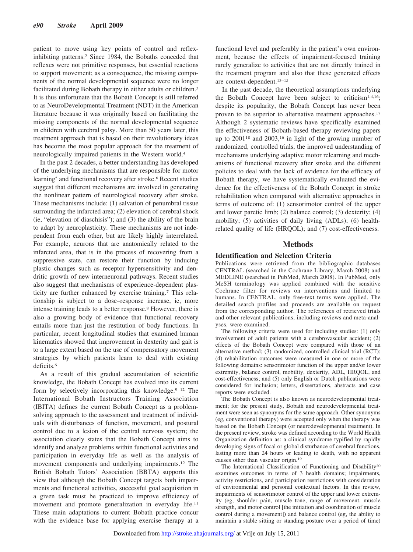patient to move using key points of control and reflexinhibiting patterns.2 Since 1984, the Bobaths conceded that reflexes were not primitive responses, but essential reactions to support movement; as a consequence, the missing components of the normal developmental sequence were no longer facilitated during Bobath therapy in either adults or children.3 It is thus unfortunate that the Bobath Concept is still referred to as NeuroDevelopmental Treatment (NDT) in the American literature because it was originally based on facilitating the missing components of the normal developmental sequence in children with cerebral palsy. More than 50 years later, this treatment approach that is based on their revolutionary ideas has become the most popular approach for the treatment of neurologically impaired patients in the Western world.4

In the past 2 decades, a better understanding has developed of the underlying mechanisms that are responsible for motor learning<sup>5</sup> and functional recovery after stroke.<sup>6</sup> Recent studies suggest that different mechanisms are involved in generating the nonlinear pattern of neurological recovery after stroke. These mechanisms include: (1) salvation of penumbral tissue surrounding the infarcted area; (2) elevation of cerebral shock (ie, "elevation of diaschisis"); and (3) the ability of the brain to adapt by neuroplasticity. These mechanisms are not independent from each other, but are likely highly interrelated. For example, neurons that are anatomically related to the infarcted area, that is in the process of recovering from a suppressive state, can restore their function by inducing plastic changes such as receptor hypersensitivity and dendritic growth of new interneuronal pathways. Recent studies also suggest that mechanisms of experience-dependent plasticity are further enhanced by exercise training.7 This relationship is subject to a dose–response increase, ie, more intense training leads to a better response.8 However, there is also a growing body of evidence that functional recovery entails more than just the restitution of body functions. In particular, recent longitudinal studies that examined human kinematics showed that improvement in dexterity and gait is to a large extent based on the use of compensatory movement strategies by which patients learn to deal with existing deficits.6

As a result of this gradual accumulation of scientific knowledge, the Bobath Concept has evolved into its current form by selectively incorporating this knowledge.<sup>9-12</sup> The International Bobath Instructors Training Association (IBITA) defines the current Bobath Concept as a problemsolving approach to the assessment and treatment of individuals with disturbances of function, movement, and postural control due to a lesion of the central nervous system; the association clearly states that the Bobath Concept aims to identify and analyze problems within functional activities and participation in everyday life as well as the analysis of movement components and underlying impairments.12 The British Bobath Tutors' Association (BBTA) supports this view that although the Bobath Concept targets both impairments and functional activities, successful goal acquisition in a given task must be practiced to improve efficiency of movement and promote generalization in everyday life.<sup>11</sup> These main adaptations to current Bobath practice concur with the evidence base for applying exercise therapy at a

functional level and preferably in the patient's own environment, because the effects of impairment-focused training rarely generalize to activities that are not directly trained in the treatment program and also that these generated effects are context-dependent.13–15

In the past decade, the theoretical assumptions underlying the Bobath Concept have been subject to criticism<sup>1,4,16</sup>; despite its popularity, the Bobath Concept has never been proven to be superior to alternative treatment approaches.17 Although 2 systematic reviews have specifically examined the effectiveness of Bobath-based therapy reviewing papers up to 200118 and 2003,16 in light of the growing number of randomized, controlled trials, the improved understanding of mechanisms underlying adaptive motor relearning and mechanisms of functional recovery after stroke and the different policies to deal with the lack of evidence for the efficacy of Bobath therapy, we have systematically evaluated the evidence for the effectiveness of the Bobath Concept in stroke rehabilitation when compared with alternative approaches in terms of outcome of: (1) sensorimotor control of the upper and lower paretic limb; (2) balance control; (3) dexterity; (4) mobility; (5) activities of daily living (ADLs); (6) healthrelated quality of life (HRQOL); and (7) cost-effectiveness.

## **Methods**

## **Identification and Selection Criteria**

Publications were retrieved from the bibliographic databases CENTRAL (searched in the Cochrane Library, March 2008) and MEDLINE (searched in PubMed, March 2008). In PubMed, only MeSH terminology was applied combined with the sensitive Cochrane filter for reviews on interventions and limited to humans. In CENTRAL, only free-text terms were applied. The detailed search profiles and proceeds are available on request from the corresponding author. The references of retrieved trials and other relevant publications, including reviews and meta-analyses, were examined.

The following criteria were used for including studies: (1) only involvement of adult patients with a cerebrovascular accident; (2) effects of the Bobath Concept were compared with those of an alternative method; (3) randomized, controlled clinical trial (RCT); (4) rehabilitation outcomes were measured in one or more of the following domains: sensorimotor function of the upper and/or lower extremity, balance control, mobility, dexterity, ADL, HRQOL, and cost-effectiveness; and (5) only English or Dutch publications were considered for inclusion; letters, dissertations, abstracts and case reports were excluded.

The Bobath Concept is also known as neurodevelopmental treatment; for the present study, Bobath and neurodevelopmental treatment were seen as synonyms for the same approach. Other synonyms (eg, conventional therapy) were accepted only when the therapy was based on the Bobath Concept (or neurodevelopmental treatment). In the present review, stroke was defined according to the World Health Organization definition as: a clinical syndrome typified by rapidly developing signs of focal or global disturbance of cerebral functions, lasting more than 24 hours or leading to death, with no apparent causes other than vascular origin.19

The International Classification of Functioning and Disability<sup>20</sup> examines outcomes in terms of 3 health domains; impairments, activity restrictions, and participation restrictions with consideration of environmental and personal contextual factors. In this review, impairments of sensorimotor control of the upper and lower extremity (eg, shoulder pain, muscle tone, range of movement, muscle strength, and motor control [the initiation and coordination of muscle control during a movement]) and balance control (eg, the ability to maintain a stable sitting or standing posture over a period of time)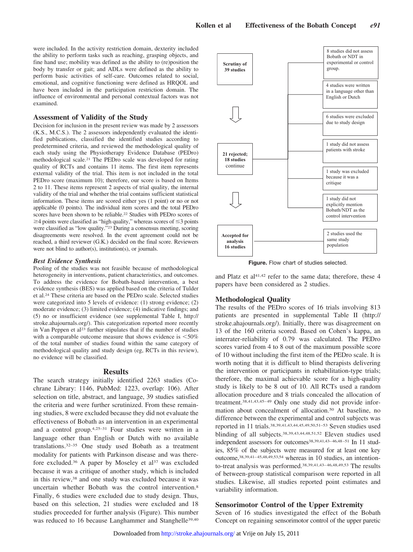were included. In the activity restriction domain, dexterity included the ability to perform tasks such as reaching, grasping objects, and fine hand use; mobility was defined as the ability to (re)position the body by transfer or gait; and ADLs were defined as the ability to perform basic activities of self-care. Outcomes related to social, emotional, and cognitive functioning were defined as HRQOL and have been included in the participation restriction domain. The influence of environmental and personal contextual factors was not examined.

## **Assessment of Validity of the Study**

Decision for inclusion in the present review was made by 2 assessors (K.S., M.C.S.). The 2 assessors independently evaluated the identified publications, classified the identified studies according to predetermined criteria, and reviewed the methodological quality of each study using the Physiotherapy Evidence Database (PEDro) methodological scale.21 The PEDro scale was developed for rating quality of RCTs and contains 11 items. The first item represents external validity of the trial. This item is not included in the total PEDro score (maximum 10); therefore, our score is based on Items 2 to 11. These items represent 2 aspects of trial quality, the internal validity of the trial and whether the trial contains sufficient statistical information. These items are scored either yes (1 point) or no or not applicable (0 points). The individual item scores and the total PEDro scores have been shown to be reliable.22 Studies with PEDro scores of  $\geq$ 4 points were classified as "high quality," whereas scores of  $\leq$ 3 points were classified as "low quality."23 During a consensus meeting, scoring disagreements were resolved. In the event agreement could not be reached, a third reviewer (G.K.) decided on the final score. Reviewers were not blind to author(s), institution(s), or journals.

#### *Best Evidence Synthesis*

Pooling of the studies was not feasible because of methodological heterogeneity in interventions, patient characteristics, and outcomes. To address the evidence for Bobath-based intervention, a best evidence synthesis (BES) was applied based on the criteria of Tulder et al.24 These criteria are based on the PEDro scale. Selected studies were categorized into 5 levels of evidence: (1) strong evidence; (2) moderate evidence; (3) limited evidence; (4) indicative findings; and (5) no or insufficient evidence (see supplemental Table I, http:// stroke.ahajournals.org/). This categorization reported more recently in Van Peppen et al<sup>23</sup> further stipulates that if the number of studies with a comparable outcome measure that shows evidence is  $< 50\%$ of the total number of studies found within the same category of methodological quality and study design (eg, RCTs in this review), no evidence will be classified.

## **Results**

The search strategy initially identified 2263 studies (Cochrane Library: 1146, PubMed: 1223, overlap: 106). After selection on title, abstract, and language, 39 studies satisfied the criteria and were further scrutinized. From these remaining studies, 8 were excluded because they did not evaluate the effectiveness of Bobath as an intervention in an experimental and a control group.4,25–31 Four studies were written in a language other than English or Dutch with no available translations.32–35 One study used Bobath as a treatment modality for patients with Parkinson disease and was therefore excluded.<sup>36</sup> A paper by Moseley et al<sup>37</sup> was excluded because it was a critique of another study, which is included in this review,38 and one study was excluded because it was uncertain whether Bobath was the control intervention.8 Finally, 6 studies were excluded due to study design. Thus, based on this selection, 21 studies were excluded and 18 studies proceeded for further analysis (Figure). This number was reduced to 16 because Langhammer and Stanghelle<sup>39,40</sup>



**Figure.** Flow chart of studies selected.

and Platz et al41,42 refer to the same data; therefore, these 4 papers have been considered as 2 studies.

## **Methodological Quality**

The results of the PEDro scores of 16 trials involving 813 patients are presented in supplemental Table II (http:// stroke.ahajournals.org/). Initially, there was disagreement on 13 of the 160 criteria scored. Based on Cohen's kappa, an interrater-reliability of 0.79 was calculated. The PEDro scores varied from 4 to 8 out of the maximum possible score of 10 without including the first item of the PEDro scale. It is worth noting that it is difficult to blind therapists delivering the intervention or participants in rehabilitation-type trials; therefore, the maximal achievable score for a high-quality study is likely to be 8 out of 10. All RCTs used a random allocation procedure and 8 trials concealed the allocation of treatment.<sup>38,41,43,45-49</sup> Only one study did not provide information about concealment of allocation.50 At baseline, no difference between the experimental and control subjects was reported in 11 trials.38,39,41,43,44,45,49,50,51–53 Seven studies used blinding of all subjects.38,39,43,44,48,51,52 Eleven studies used independent assessors for outcomes<sup>38,39,41,43-46,48-51</sup> In 11 studies, 85% of the subjects were measured for at least one key outcome,38,39,41– 45,48,49,53,54 whereas in 10 studies, an intentionto-treat analysis was performed.38,39,41,43– 46,48,49,53 The results of between-group statistical comparison were reported in all studies. Likewise, all studies reported point estimates and variability information.

## **Sensorimotor Control of the Upper Extremity**

Seven of 16 studies investigated the effect of the Bobath Concept on regaining sensorimotor control of the upper paretic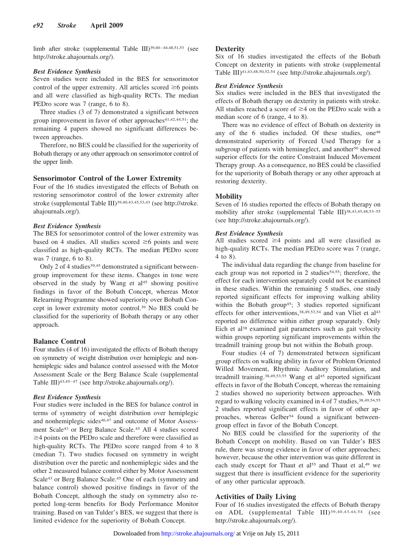limb after stroke (supplemental Table III)<sup>39,40-44,48,51,53</sup> (see http://stroke.ahajournals.org/).

## *Best Evidence Synthesis*

Seven studies were included in the BES for sensorimotor control of the upper extremity. All articles scored  $\geq 6$  points and all were classified as high-quality RCTs. The median PEDro score was 7 (range, 6 to 8).

Three studies (3 of 7) demonstrated a significant between group improvement in favor of other approaches<sup>41,42,44,51</sup>; the remaining 4 papers showed no significant differences between approaches.

Therefore, no BES could be classified for the superiority of Bobath therapy or any other approach on sensorimotor control of the upper limb.

# **Sensorimotor Control of the Lower Extremity**

Four of the 16 studies investigated the effects of Bobath on restoring sensorimotor control of the lower extremity after stroke (supplemental Table III)39,40,43,45,53,43 (see http://stroke. ahajournals.org/).

# *Best Evidence Synthesis*

The BES for sensorimotor control of the lower extremity was based on 4 studies. All studies scored  $\geq 6$  points and were classified as high-quality RCTs. The median PEDro score was 7 (range, 6 to 8).

Only 2 of 4 studies<sup>39,45</sup> demonstrated a significant betweengroup improvement for these items. Changes in tone were observed in the study by Wang et al<sup>45</sup> showing positive findings in favor of the Bobath Concept, whereas Motor Relearning Programme showed superiority over Bobath Concept in lower extremity motor control.39 No BES could be classified for the superiority of Bobath therapy or any other approach.

# **Balance Control**

Four studies (4 of 16) investigated the effects of Bobath therapy on symmetry of weight distribution over hemiplegic and nonhemiplegic sides and balance control assessed with the Motor Assessment Scale or the Berg Balance Scale (supplemental Table III)<sup>43,45-47</sup> (see http://stroke.ahajournals.org/).

# *Best Evidence Synthesis*

Four studies were included in the BES for balance control in terms of symmetry of weight distribution over hemiplegic and nonhemiplegic sides<sup>46,47</sup> and outcome of Motor Assessment Scale43 or Berg Balance Scale.45 All 4 studies scored  $\geq$ 4 points on the PEDro scale and therefore were classified as high-quality RCTs. The PEDro score ranged from 4 to 8 (median 7). Two studies focused on symmetry in weight distribution over the paretic and nonhemiplegic sides and the other 2 measured balance control either by Motor Assessment Scale<sup>43</sup> or Berg Balance Scale.<sup>45</sup> One of each (symmetry and balance control) showed positive findings in favor of the Bobath Concept, although the study on symmetry also reported long-term benefits for Body Performance Monitor training. Based on van Tulder's BES, we suggest that there is limited evidence for the superiority of Bobath Concept.

# **Dexterity**

Six of 16 studies investigated the effects of the Bobath Concept on dexterity in patients with stroke (supplemental Table III)41,43,48,50,52,54 (see http://stroke.ahajournals.org/).

## *Best Evidence Synthesis*

Six studies were included in the BES that investigated the effects of Bobath therapy on dexterity in patients with stroke. All studies reached a score of  $\geq$ 4 on the PEDro scale with a median score of 6 (range, 4 to 8).

There was no evidence of effect of Bobath on dexterity in any of the 6 studies included. Of these studies, one<sup>48</sup> demonstrated superiority of Forced Used Therapy for a subgroup of patients with hemineglect, and another<sup>50</sup> showed superior effects for the entire Constraint Induced Movement Therapy group. As a consequence, no BES could be classified for the superiority of Bobath therapy or any other approach at restoring dexterity.

# **Mobility**

Seven of 16 studies reported the effects of Bobath therapy on mobility after stroke (supplemental Table III)<sup>38,43,45,48,53-55</sup> (see http://stroke.ahajournals.org/).

## *Best Evidence Synthesis*

All studies scored  $\geq 4$  points and all were classified as high-quality RCTs. The median PEDro score was 7 (range, 4 to 8).

The individual data regarding the change from baseline for each group was not reported in 2 studies<sup>54,55</sup>; therefore, the effect for each intervention separately could not be examined in these studies. Within the remaining 5 studies, one study reported significant effects for improving walking ability within the Bobath group<sup>45</sup>; 3 studies reported significant effects for other interventions,<sup>38,49,53,54</sup> and van Vliet et al<sup>43</sup> reported no difference within either group separately. Only Eich et al<sup>38</sup> examined gait parameters such as gait velocity within groups reporting significant improvements within the treadmill training group but not within the Bobath group.

Four studies (4 of 7) demonstrated between significant group effects on walking ability in favor of Problem Oriented Willed Movement, Rhythmic Auditory Stimulation, and treadmill training.<sup>38,49,53,55</sup> Wang et al<sup>45</sup> reported significant effects in favor of the Bobath Concept, whereas the remaining 2 studies showed no superiority between approaches. With regard to walking velocity examined in 4 of 7 studies,  $38,49,54,55$ 2 studies reported significant effects in favor of other approaches, whereas Gelber<sup>54</sup> found a significant betweengroup effect in favor of the Bobath Concept.

No BES could be classified for the superiority of the Bobath Concept on mobility. Based on van Tulder's BES rule, there was strong evidence in favor of other approaches; however, because the other intervention was quite different in each study except for Thaut et al<sup>55</sup> and Thaut et al,<sup>49</sup> we suggest that there is insufficient evidence for the superiority of any other particular approach.

# **Activities of Daily Living**

Four of 16 studies investigated the effects of Bobath therapy on ADL (supplemental Table III)<sup>39,40,43,44,54</sup> (see http://stroke.ahajournals.org/).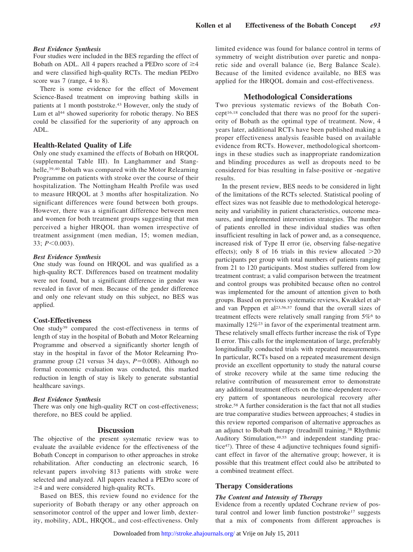## *Best Evidence Synthesis*

Four studies were included in the BES regarding the effect of Bobath on ADL. All 4 papers reached a PEDro score of  $\geq 4$ and were classified high-quality RCTs. The median PEDro score was 7 (range, 4 to 8).

There is some evidence for the effect of Movement Science-Based treatment on improving bathing skills in patients at 1 month poststroke.<sup>43</sup> However, only the study of Lum et al<sup>44</sup> showed superiority for robotic therapy. No BES could be classified for the superiority of any approach on ADL.

## **Health-Related Quality of Life**

Only one study examined the effects of Bobath on HRQOL (supplemental Table III). In Langhammer and Stanghelle,39,40 Bobath was compared with the Motor Relearning Programme on patients with stroke over the course of their hospitalization. The Nottingham Health Profile was used to measure HRQOL at 3 months after hospitalization. No significant differences were found between both groups. However, there was a significant difference between men and women for both treatment groups suggesting that men perceived a higher HRQOL than women irrespective of treatment assignment (men median, 15; women median, 33;  $P < 0.003$ ).

#### *Best Evidence Synthesis*

One study was found on HRQOL and was qualified as a high-quality RCT. Differences based on treatment modality were not found, but a significant difference in gender was revealed in favor of men. Because of the gender difference and only one relevant study on this subject, no BES was applied.

## **Cost-Effectiveness**

One study39 compared the cost-effectiveness in terms of length of stay in the hospital of Bobath and Motor Relearning Programme and observed a significantly shorter length of stay in the hospital in favor of the Motor Relearning Programme group  $(21 \text{ versus } 34 \text{ days}, P=0.008)$ . Although no formal economic evaluation was conducted, this marked reduction in length of stay is likely to generate substantial healthcare savings.

#### *Best Evidence Synthesis*

There was only one high-quality RCT on cost-effectiveness; therefore, no BES could be applied.

#### **Discussion**

The objective of the present systematic review was to evaluate the available evidence for the effectiveness of the Bobath Concept in comparison to other approaches in stroke rehabilitation. After conducting an electronic search, 16 relevant papers involving 813 patients with stroke were selected and analyzed. All papers reached a PEDro score of  $\geq$ 4 and were considered high-quality RCTs.

Based on BES, this review found no evidence for the superiority of Bobath therapy or any other approach on sensorimotor control of the upper and lower limb, dexterity, mobility, ADL, HRQOL, and cost-effectiveness. Only limited evidence was found for balance control in terms of symmetry of weight distribution over paretic and nonparetic side and overall balance (ie, Berg Balance Scale). Because of the limited evidence available, no BES was applied for the HRQOL domain and cost-effectiveness.

## **Methodological Considerations**

Two previous systematic reviews of the Bobath Concept16,18 concluded that there was no proof for the superiority of Bobath as the optimal type of treatment. Now, 4 years later, additional RCTs have been published making a proper effectiveness analysis feasible based on available evidence from RCTs. However, methodological shortcomings in these studies such as inappropriate randomization and blinding procedures as well as dropouts need to be considered for bias resulting in false-positive or -negative results.

In the present review, BES needs to be considered in light of the limitations of the RCTs selected. Statistical pooling of effect sizes was not feasible due to methodological heterogeneity and variability in patient characteristics, outcome measures, and implemented intervention strategies. The number of patients enrolled in these individual studies was often insufficient resulting in lack of power and, as a consequence, increased risk of Type II error (ie, observing false-negative effects); only 8 of 16 trials in this review allocated  $>20$ participants per group with total numbers of patients ranging from 21 to 120 participants. Most studies suffered from low treatment contrast; a valid comparison between the treatment and control groups was prohibited because often no control was implemented for the amount of attention given to both groups. Based on previous systematic reviews, Kwakkel et al6 and van Peppen et al23,56,57 found that the overall sizes of treatment effects were relatively small ranging from 5%<sup>6</sup> to maximally 12%23 in favor of the experimental treatment arm. These relatively small effects further increase the risk of Type II error. This calls for the implementation of large, preferably longitudinally conducted trials with repeated measurements. In particular, RCTs based on a repeated measurement design provide an excellent opportunity to study the natural course of stroke recovery while at the same time reducing the relative contribution of measurement error to demonstrate any additional treatment effects on the time-dependent recovery pattern of spontaneous neurological recovery after stroke.58 A further consideration is the fact that not all studies are true comparative studies between approaches; 4 studies in this review reported comparison of alternative approaches as an adjunct to Bobath therapy (treadmill training,38 Rhythmic Auditory Stimulation,49,55 and independent standing practice<sup>47</sup>). Three of these 4 adjunctive techniques found significant effect in favor of the alternative group; however, it is possible that this treatment effect could also be attributed to a combined treatment effect.

## **Therapy Considerations**

## *The Content and Intensity of Therapy*

Evidence from a recently updated Cochrane review of postural control and lower limb function poststroke<sup>17</sup> suggests that a mix of components from different approaches is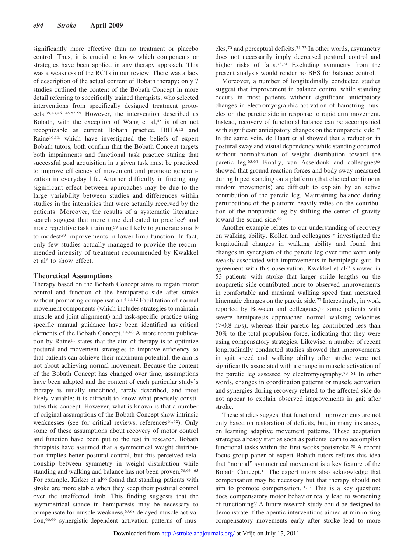significantly more effective than no treatment or placebo control. Thus, it is crucial to know which components or strategies have been applied in any therapy approach. This was a weakness of the RCTs in our review. There was a lack of description of the actual content of Bobath therapy**;** only 7 studies outlined the content of the Bobath Concept in more detail referring to specifically trained therapists, who selected interventions from specifically designed treatment protocols.39,43,46 – 48,53,55 However, the intervention described as Bobath, with the exception of Wang et al,45 is often not recognizable as current Bobath practice. IBITA12 and Raine10,11, which have investigated the beliefs of expert Bobath tutors, both confirm that the Bobath Concept targets both impairments and functional task practice stating that successful goal acquisition in a given task must be practiced to improve efficiency of movement and promote generalization in everyday life. Another difficulty in finding any significant effect between approaches may be due to the large variability between studies and differences within studies in the intensities that were actually received by the patients. Moreover, the results of a systematic literature search suggest that more time dedicated to practice<sup>6</sup> and more repetitive task training<sup>59</sup> are likely to generate small<sup>6</sup> to modest<sup>59</sup> improvements in lower limb function. In fact, only few studies actually managed to provide the recommended intensity of treatment recommended by Kwakkel et al<sup>6</sup> to show effect.

# **Theoretical Assumptions**

Therapy based on the Bobath Concept aims to regain motor control and function of the hemiparetic side after stroke without promoting compensation.<sup>4,11,12</sup> Facilitation of normal movement components (which includes strategies to maintain muscle and joint alignment) and task-specific practice using specific manual guidance have been identified as critical elements of the Bobath Concept.1,4,60 A more recent publication by Raine<sup>11</sup> states that the aim of therapy is to optimize postural and movement strategies to improve efficiency so that patients can achieve their maximum potential; the aim is not about achieving normal movement. Because the content of the Bobath Concept has changed over time, assumptions have been adapted and the content of each particular study's therapy is usually undefined, rarely described, and most likely variable; it is difficult to know what precisely constitutes this concept. However, what is known is that a number of original assumptions of the Bobath Concept show intrinsic weaknesses (see for critical reviews, references<sup>61,62</sup>). Only some of these assumptions about recovery of motor control and function have been put to the test in research. Bobath therapists have assumed that a symmetrical weight distribution implies better postural control, but this perceived relationship between symmetry in weight distribution while standing and walking and balance has not been proven.<sup>56,63–65</sup> For example, Kirker et al<sup>66</sup> found that standing patients with stroke are more stable when they keep their postural control over the unaffected limb. This finding suggests that the asymmetrical stance in hemiparesis may be necessary to compensate for muscle weakness,<sup>67,68</sup> delayed muscle activation,<sup>66,69</sup> synergistic-dependent activation patterns of muscles,70 and perceptual deficits.71,72 In other words, asymmetry does not necessarily imply decreased postural control and higher risks of falls.73,74 Excluding symmetry from the present analysis would render no BES for balance control.

Moreover, a number of longitudinally conducted studies suggest that improvement in balance control while standing occurs in most patients without significant anticipatory changes in electromyographic activation of hamstring muscles on the paretic side in response to rapid arm movement. Instead, recovery of functional balance can be accompanied with significant anticipatory changes on the nonparetic side.<sup>75</sup> In the same vein, de Haart et al showed that a reduction in postural sway and visual dependency while standing occurred without normalization of weight distribution toward the paretic leg.<sup>63,64</sup> Finally, van Asseldonk and colleagues<sup>65</sup> showed that ground reaction forces and body sway measured during biped standing on a platform (that elicited continuous random movements) are difficult to explain by an active contribution of the paretic leg. Maintaining balance during perturbations of the platform heavily relies on the contribution of the nonparetic leg by shifting the center of gravity toward the sound side.<sup>65</sup>

Another example relates to our understanding of recovery on walking ability. Kollen and colleagues76 investigated the longitudinal changes in walking ability and found that changes in synergism of the paretic leg over time were only weakly associated with improvements in hemiplegic gait. In agreement with this observation, Kwakkel et al<sup>77</sup> showed in 53 patients with stroke that larger stride lengths on the nonparetic side contributed more to observed improvements in comfortable and maximal walking speed than measured kinematic changes on the paretic side.77 Interestingly, in work reported by Bowden and colleagues,78 some patients with severe hemiparesis approached normal walking velocities  $(0.8 \text{ m/s})$ , whereas their paretic leg contributed less than 30% to the total propulsion force, indicating that they were using compensatory strategies. Likewise, a number of recent longitudinally conducted studies showed that improvements in gait speed and walking ability after stroke were not significantly associated with a change in muscle activation of the paretic leg assessed by electromyography.<sup>79-81</sup> In other words, changes in coordination patterns or muscle activation and synergies during recovery related to the affected side do not appear to explain observed improvements in gait after stroke.

These studies suggest that functional improvements are not only based on restoration of deficits, but, in many instances, on learning adaptive movement patterns. These adaptation strategies already start as soon as patients learn to accomplish functional tasks within the first weeks poststroke.58 A recent focus group paper of expert Bobath tutors refutes this idea that "normal" symmetrical movement is a key feature of the Bobath Concept.11 The expert tutors also acknowledge that compensation may be necessary but that therapy should not aim to promote compensation.<sup>11,12</sup> This is a key question: does compensatory motor behavior really lead to worsening of functioning? A future research study could be designed to demonstrate if therapeutic interventions aimed at minimizing compensatory movements early after stroke lead to more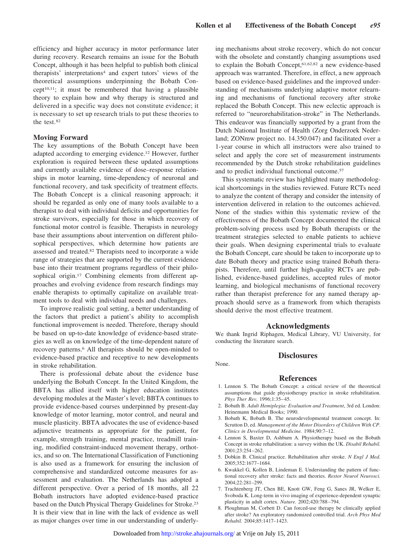efficiency and higher accuracy in motor performance later during recovery. Research remains an issue for the Bobath Concept, although it has been helpful to publish both clinical therapists' interpretations4 and expert tutors' views of the theoretical assumptions underpinning the Bobath Concept $10,11$ ; it must be remembered that having a plausible theory to explain how and why therapy is structured and delivered in a specific way does not constitute evidence; it is necessary to set up research trials to put these theories to the test.82

## **Moving Forward**

The key assumptions of the Bobath Concept have been adapted according to emerging evidence.12 However, further exploration is required between these updated assumptions and currently available evidence of dose–response relationships in motor learning, time-dependency of neuronal and functional recovery, and task specificity of treatment effects. The Bobath Concept is a clinical reasoning approach; it should be regarded as only one of many tools available to a therapist to deal with individual deficits and opportunities for stroke survivors, especially for those in which recovery of functional motor control is feasible. Therapists in neurology base their assumptions about intervention on different philosophical perspectives, which determine how patients are assessed and treated.82 Therapists need to incorporate a wide range of strategies that are supported by the current evidence base into their treatment programs regardless of their philosophical origin.<sup>17</sup> Combining elements from different approaches and evolving evidence from research findings may enable therapists to optimally capitalize on available treatment tools to deal with individual needs and challenges.

To improve realistic goal setting, a better understanding of the factors that predict a patient's ability to accomplish functional improvement is needed. Therefore, therapy should be based on up-to-date knowledge of evidence-based strategies as well as on knowledge of the time-dependent nature of recovery patterns.6 All therapists should be open-minded to evidence-based practice and receptive to new developments in stroke rehabilitation.

There is professional debate about the evidence base underlying the Bobath Concept. In the United Kingdom, the BBTA has allied itself with higher education institutes developing modules at the Master's level; BBTA continues to provide evidence-based courses underpinned by present-day knowledge of motor learning, motor control, and neural and muscle plasticity. BBTA advocates the use of evidence-based adjunctive treatments as appropriate for the patient, for example, strength training, mental practice, treadmill training, modified constraint-induced movement therapy, orthotics, and so on. The International Classification of Functioning is also used as a framework for ensuring the inclusion of comprehensive and standardized outcome measures for assessment and evaluation. The Netherlands has adopted a different perspective. Over a period of 18 months, all 22 Bobath instructors have adopted evidence-based practice based on the Dutch Physical Therapy Guidelines for Stroke.23 It is their view that in line with the lack of evidence as well as major changes over time in our understanding of underlying mechanisms about stroke recovery, which do not concur with the obsolete and constantly changing assumptions used to explain the Bobath Concept, <sup>61, 62, 82</sup> a new evidence-based approach was warranted. Therefore, in effect, a new approach based on evidence-based guidelines and the improved understanding of mechanisms underlying adaptive motor relearning and mechanisms of functional recovery after stroke replaced the Bobath Concept. This new eclectic approach is referred to "neurorehabilitation-stroke" in The Netherlands. This endeavor was financially supported by a grant from the Dutch National Institute of Health (Zorg Onderzoek Nederland; ZONmw project no. 14.350.047) and facilitated over a 1-year course in which all instructors were also trained to select and apply the core set of measurement instruments recommended by the Dutch stroke rehabilitation guidelines and to predict individual functional outcome.57

This systematic review has highlighted many methodological shortcomings in the studies reviewed. Future RCTs need to analyze the content of therapy and consider the intensity of intervention delivered in relation to the outcomes achieved. None of the studies within this systematic review of the effectiveness of the Bobath Concept documented the clinical problem-solving process used by Bobath therapists or the treatment strategies selected to enable patients to achieve their goals. When designing experimental trials to evaluate the Bobath Concept, care should be taken to incorporate up to date Bobath theory and practice using trained Bobath therapists. Therefore, until further high-quality RCTs are published, evidence-based guidelines, accepted rules of motor learning, and biological mechanisms of functional recovery rather than therapist preference for any named therapy approach should serve as a framework from which therapists should derive the most effective treatment.

## **Acknowledgments**

We thank Ingrid Riphagen, Medical Library, VU University, for conducting the literature search.

# **Disclosures**

#### **References**

- 1. Lennon S. The Bobath Concept: a critical review of the theoretical assumptions that guide physiotherapy practice in stroke rehabilitation. *Phys Ther Rev.* 1996;1:35– 45.
- 2. Bobath B. *Adult Hemiplegia: Evaluation and Treatment*, 3rd ed. London: Heinemann Medical Books; 1990.
- 3. Bobath K, Bobath B. The neurodevelopmental treatment concept. In: Scrutton D, ed. *Management of the Motor Disorders of Children With CP*. *Clinics in Developmental Medicine.* 1984;90:7–12.
- 4. Lennon S, Baxter D, Ashburn A. Physiotherapy based on the Bobath Concept in stroke rehabilitation: a survey within the UK. *Disabil Rehabil.* 2001;23:254 –262.
- 5. Dobkin B. Clinical practice. Rehabilitation after stroke. *N Engl J Med.* 2005;352:1677–1684.
- 6. Kwakkel G, Kollen B, Lindeman E. Understanding the pattern of functional recovery after stroke: facts and theories. *Restor Neurol Neurosci.* 2004;22:281–299.
- 7. Trachtenberg JT, Chen BE, Knott GW, Feng G, Sanes JR, Welker E, Svoboda K. Long-term in vivo imaging of experience-dependent synaptic plasticity in adult cortex. *Nature.* 2002;420:788 –794.
- 8. Ploughman M, Corbett D. Can forced-use therapy be clinically applied after stroke? An exploratory randomized controlled trial. *Arch Phys Med Rehabil.* 2004;85:1417–1423.

None.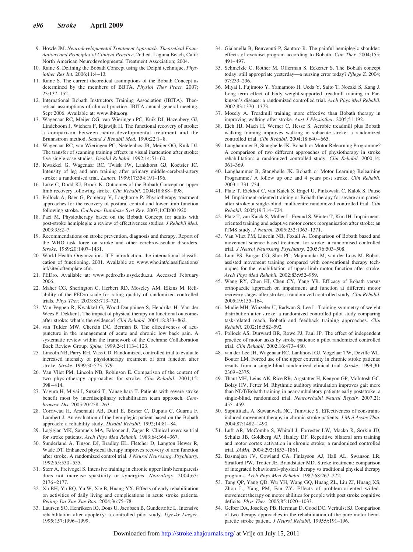- 9. Howle JM. *Neurodevelopmental Treatment Approach: Theoretical Foundations and Principles of Clinical Practice,* 2nd ed. Laguna Beach, Calif: North American Neurodevelopmental Treatment Association; 2004.
- 10. Raine S. Defining the Bobath Concept using the Delphi technique. *Physiother Res Int.* 2006;11:4 –13*.*
- 11. Raine S. The current theoretical assumptions of the Bobath Concept as determined by the members of BBTA. *Physiol Ther Pract.* 2007; 23:137–152.
- 12. International Bobath Instructors Training Association (IBITA). Theoretical assumptions of clinical practice. IBITA annual general meeting, Sept 2006. Available at: www.ibita.org.
- 13. Wagenaar RC, Meijer OG, van Wieringen PC, Kuik DJ, Hazenberg GJ, Lindeboom J, Wichers F, Rijswijk H. The functional recovery of stroke: a comparison between neuro-developmental treatment and the Brunnstrom method. *Scand J Rehabil Med*. 1990;22:1-8.
- 14. Wagenaar RC, van Wieringen PC, Netelenbos JB, Meijer OG, Kuik DJ. The transfer of scanning training effects in visual inattention after stroke: five single-case studies. *Disabil Rehabil*. 1992;14:51-60.
- 15. Kwakkel G, Wagenaar RC, Twisk JW, Lankhorst GJ, Koetsier JC. Intensity of leg and arm training after primary middle-cerebral-artery stroke: a randomised trial. *Lancet.* 1999;17:354:191–196.
- 16. Luke C, Dodd KJ, Brock K. Outcomes of the Bobath Concept on upper limb recovery following stroke. *Clin Rehabil.* 2004;18:888 – 898.
- 17. Pollock A, Baer G, Pomeroy V, Langhorne P. Physiotherapy treatment approaches for the recovery of postural control and lower limb function following stroke. *Cochrane Database Syst Rev.* 2007;1:CD001920.
- 18. Paci M. Physiotherapy based on the Bobath Concept for adults with post-stroke hemiplegia: a review of effectiveness studies. *J Rehabil Med.* 2003;35:2–7.
- 19. Recommendations on stroke prevention, diagnosis and therapy. Report of the WHO task force on stroke and other cerebrovasculair disorders. *Stroke.* 1989;20:1407–1431.
- 20. World Health Organization. ICF introduction, the international classification of functioning. 2001. Available at: www.who.int/classifications/ icf/site/icftemplate.cfm.
- 21. PEDro. Available at: www.pedro.fhs.usyd.edu.au. Accessed February 2006.
- 22. Maher CG, Sherington C, Herbert RD, Moseley AM, Elkins M. Reliability of the PEDro scale for rating quality of randomized controlled trials. *Phys Ther.* 2003;83:713–721.
- 23. Van Peppen R, Kwakkel G, Wood-Dauphinee S, Hendriks H, Van der Wees P, Dekker J. The impact of physical therapy on functional outcomes after stroke: what's the evidence? *Clin Rehabil.* 2004;18:833– 862.
- 24. van Tulder MW, Cherkin DC, Berman B. The effectiveness of acupuncture in the management of acute and chronic low back pain. A systematic review within the framework of the Cochrane Collaboration Back Review Group. *Spine.* 1999;24:1113–1123.
- 25. Lincoln NB, Parry RH, Vass CD. Randomized, controlled trial to evaluate increased intensity of physiotherapy treatment of arm function after stroke. *Stroke.* 1999;30:573–579.
- 26. Van Vliet PM, Lincoln NB, Robinson E. Comparison of the content of two physiotherapy approaches for stroke. *Clin Rehabil.* 2001;15: 398 – 414.
- 27. Yagura H, Miyai I, Suzuki T, Yanagihara T. Patients with severe stroke benefit most by interdisciplinary rehabilitation team approach. *Cerebrovasc Dis.* 2005;20:258 –263.
- 28. Corriveau H, Arsenault AB, Dutil E, Besner C, Dupuis C, Guarna F, Lambert J. An evaluation of the hemiplegic patient based on the Bobath approach: a reliability study. *Disabil Rehabil.* 1992;14:81– 84.
- 29. Logigian MK, Samuels MA, Falconer J, Zager R. Clinical exercise trial for stroke patients. *Arch Phys Med Rehabil.* 1983;64:364 –367.
- 30. Sunderland A, Tinson DJ, Bradley EL, Fletcher D, Langton Hewer R, Wade DT. Enhanced physical therapy improves recovery of arm function after stroke. A randomized control trial. *J Neurol Neurosurg. Psychiatry.* 1992;55:530 –535.
- 31. Sterr A, Freivogel S. Intensive training in chronic upper limb hemiparesis does not increase spasticity or synergies. *Neurology.* 2004;63: 2176 –2177.
- 32. Xu BH, Yu RQ, Yu W, Xie B, Huang YX. Effects of early rehabilitation on activities of daily living and complications in acute stroke patients. *Beijing Da Xue Xue Bao.* 2004;36:75–78.
- 33. Laursen SO, Henriksen IO, Dons U, Jacobsen B, Gundertofte L. Intensive rehabilitation after apoplexy: a controlled pilot study. *Ugeskr Laeger.* 1995;157:1996 –1999.
- 34. Gialanella B, Benvenuti P, Santoro R. The painful hemiplegic shoulder: effects of exercise program according to Bobath. *Clin Ther.* 2004;155: 491– 497.
- 35. Schmelzle C, Rother M, Offerman S, Eckerter S. The Bobath concept today: still appropriate yesterday—a nursing error today? *Pflege Z.* 2004; 57:233–236.
- 36. Miyai I, Fujimoto Y, Yamamoto H, Ueda Y, Saito T, Nozaki S, Kang J. Long term effect of body weight-supported treadmill training in Parkinson's disease: a randomized controlled trial. *Arch Phys Med Rehabil.* 2002;83:1370 –1373.
- 37. Mosely A. Treadmill training more effective than Bobath therapy in improving walking after stroke. *Aust J Physiother.* 2005;51:192.
- 38. Eich HJ, Mach H, Werner C, Hesse S. Aerobic treadmill plus Bobath walking training improves walking in subacute stroke: a randomized controlled trial. *Clin Rehabil.* 2004;18:640 – 665.
- 39. Langhammer B, Stanghelle JK. Bobath or Motor Relearning Programme? A comparison of two different approaches of physiotherapy in stroke rehabilitation: a randomized controlled study. *Clin Rehabil.* 2000;14: 361–369.
- 40. Langhammer B, Stanghelle JK. Bobath or Motor Learning Relearning Programme? A follow up one and 4 years post stroke. *Clin Rehabil.* 2003;1:731–734.
- 41. Platz T, Eickhof C, van Kaick S, Engel U, Pinkowski C, Kalok S, Pause M. Impairment-oriented training or Bobath therapy for severe arm paresis after stroke: a single-blind, multicentre randomized controlled trial. *Clin Rehabil.* 2005;19:714 –724.
- 42. Platz T, van Kaick S, Möller L, Freund S, Winter T, Kim IH. Impairmentoriented training and adaptive motor cortex reorganisation after stroke: an fTMS study. *J Neurol.* 2005;252:1363–1371.
- 43. Van Vliet PM, Lincoln NB, Foxall A. Comparison of Bobath based and movement science based treatment for stroke: a randomised controlled trial. *J Neurol Neurosurg Psychiatry.* 2005;76:503–508.
- 44. Lum PS, Burgar CG, Shor PC, Majmundar M, van der Loos M. Robotassisted movement training compared with conventional therapy techniques for the rehabilitation of upper-limb motor function after stroke. *Arch Phys Med Rehabil.* 2002;83:952–959.
- 45. Wang RY, Chen HI, Chen CY, Yang YR. Efficacy of Bobath versus orthopaedic approach on impairment and function at different motor recovery stages after stroke: a randomized controlled study. *Clin Rehabil.* 2005;19:155–164.
- 46. Mudie MH, Winzeler U, Radwan S, Lee L. Training symmetry of weight distribution after stroke: a randomized controlled pilot study comparing task-related reach, Bobath and feedback training approaches. *Clin Rehabil.* 2002;16:582–592*.*
- 47. Pollock AS, Durward BR, Rowe PJ, Paul JP. The effect of independent practice of motor tasks by stroke patients: a pilot randomized controlled trial. *Clin Rehabil.* 2002;16:473– 480.
- 48. van der Lee JH, Wagenaar RC, Lankhorst GJ, Vogelaar TW, Deville WL, Bouter LM. Forced use of the upper extremity in chronic stroke patients; results from a single-blind randomized clinical trial. *Stroke.* 1999;30: 2369 –2375.
- 49. Thaut MH, Leins AK, Rice RR, Argstatter H, Kenyon GP, McIntosh GC, Bolay HV, Fetter M. Rhythmic auditory stimulation improves gait more than NDT/Bobath training in near-ambulatory patients early poststroke: a single-blind, randomized trial. *Neurorehabil Neural Repair.* 2007;21: 455– 459.
- 50. Suputtitada A, Suwanwela NC, Tumvitee S. Effectiveness of constraintinduced movement therapy in chronic stroke patients. *J Med Assoc Thai.* 2004;87:1482–1490.
- 51. Luft AR, McCombe S, Whitall J, Forrester LW, Macko R, Sorkin JD, Schultz JB, Goldberg AP, Hanley DF. Repetitive bilateral arm training and motor cortex activation in chronic stroke; a randomized controlled trial. *JAMA.* 2004;292:1853–1861.
- 52. Basmajian JV, Gowland CA, Finlayson AJ, Hall AL, Swanson LR, Stratford PW, Trotter JE, Brandstater MD. Stroke treatment: comparison of integrated behavioural–physical therapy vs traditional physical therapy programs. *Arch Phys Med Rehabil.* 1987;68:267–272.
- 53. Tang QP, Yang QD, Wu YH, Wang GQ, Huang ZL, Liu ZJ, Huang XS, Zhou L, Yang PM, Fan ZY. Effects of problem-oriented willedmovement therapy on motor abilities for people with post stroke cognitive deficits. *Phys Ther.* 2005;85:1020 –1033.
- 54. Gelber DA, Josefczy PB, Herrman D, Good DC, Verhulst SJ. Comparison of two therapy approaches in the rehabilitation of the pure motor hemiparetic stroke patient. *J Neurol Rehabil.* 1995;9:191–196.